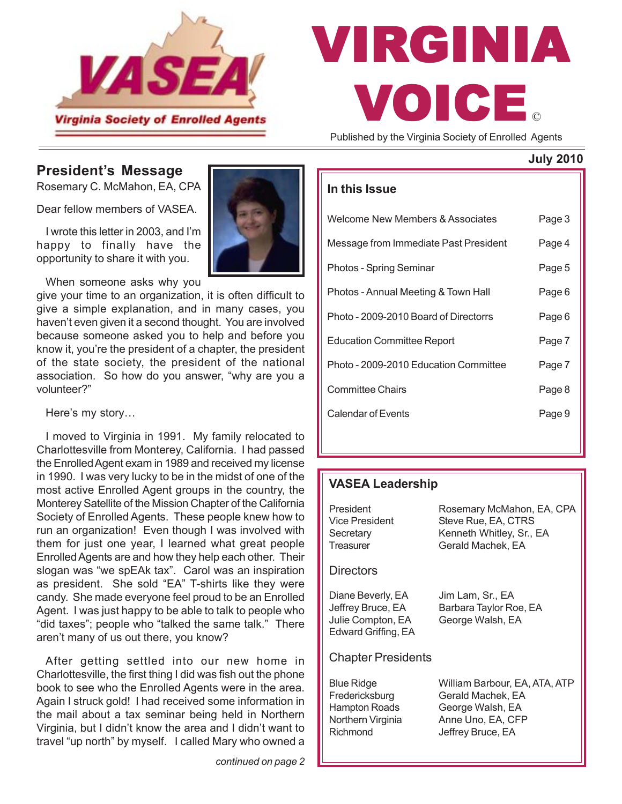

# © VIRGINIA VOICE

Published by the Virginia Society of Enrolled Agents

#### **July 2010**

### **President's Message**

Rosemary C. McMahon, EA, CPA

Dear fellow members of VASEA.

I wrote this letter in 2003, and I'm happy to finally have the opportunity to share it with you.

When someone asks why you

give your time to an organization, it is often difficult to give a simple explanation, and in many cases, you haven't even given it a second thought. You are involved because someone asked you to help and before you know it, you're the president of a chapter, the president of the state society, the president of the national association. So how do you answer, "why are you a volunteer?"

Here's my story…

I moved to Virginia in 1991. My family relocated to Charlottesville from Monterey, California. I had passed the Enrolled Agent exam in 1989 and received my license in 1990. I was very lucky to be in the midst of one of the most active Enrolled Agent groups in the country, the Monterey Satellite of the Mission Chapter of the California Society of Enrolled Agents. These people knew how to run an organization! Even though I was involved with them for just one year, I learned what great people Enrolled Agents are and how they help each other. Their slogan was "we spEAk tax". Carol was an inspiration as president. She sold "EA" T-shirts like they were candy. She made everyone feel proud to be an Enrolled Agent. I was just happy to be able to talk to people who "did taxes"; people who "talked the same talk." There aren't many of us out there, you know?

After getting settled into our new home in Charlottesville, the first thing I did was fish out the phone book to see who the Enrolled Agents were in the area. Again I struck gold! I had received some information in the mail about a tax seminar being held in Northern Virginia, but I didn't know the area and I didn't want to travel "up north" by myself. I called Mary who owned a

#### **In this Issue**

| Welcome New Members & Associates      | Page 3 |
|---------------------------------------|--------|
| Message from Immediate Past President | Page 4 |
| Photos - Spring Seminar               | Page 5 |
| Photos - Annual Meeting & Town Hall   | Page 6 |
| Photo - 2009-2010 Board of Directorrs | Page 6 |
| <b>Education Committee Report</b>     | Page 7 |
| Photo - 2009-2010 Education Committee | Page 7 |
| Committee Chairs                      | Page 8 |
| Calendar of Events                    | Page 9 |
|                                       |        |

#### **VASEA Leadership**

| President<br>Vice President<br>Secretary<br>Treasurer                                        | Rosemary McMahon, EA, CPA<br>Steve Rue, EA, CTRS<br>Kenneth Whitley, Sr., EA<br>Gerald Machek, EA                |
|----------------------------------------------------------------------------------------------|------------------------------------------------------------------------------------------------------------------|
| Directors                                                                                    |                                                                                                                  |
| Diane Beverly, EA<br>Jeffrey Bruce, EA<br>Julie Compton, EA<br>Edward Griffing, EA           | Jim Lam, Sr., EA<br>Barbara Taylor Roe, EA<br>George Walsh, EA                                                   |
| <b>Chapter Presidents</b>                                                                    |                                                                                                                  |
| <b>Blue Ridge</b><br>Fredericksburg<br><b>Hampton Roads</b><br>Northern Virginia<br>Richmond | William Barbour, EA, ATA, ATP<br>Gerald Machek, EA<br>George Walsh, EA<br>Anne Uno, EA, CFP<br>Jeffrey Bruce, EA |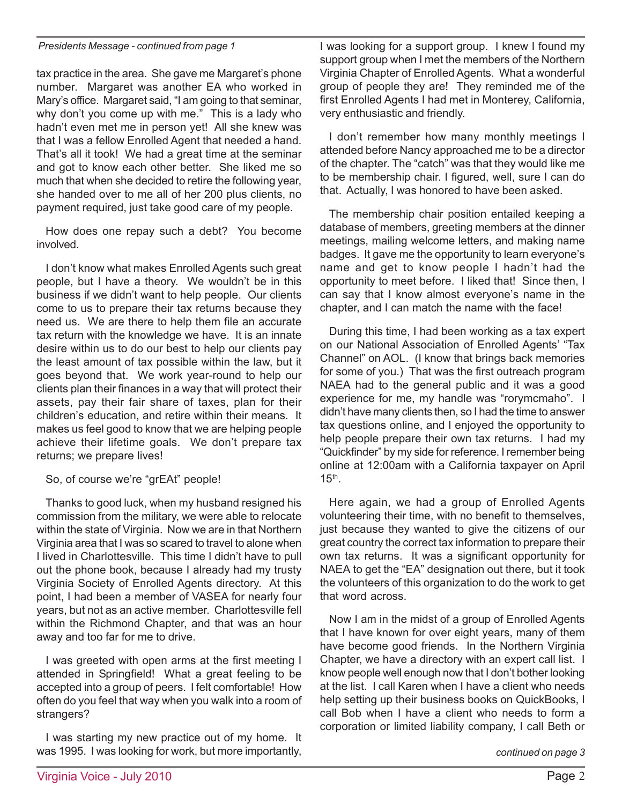#### *Presidents Message - continued from page 1*

tax practice in the area. She gave me Margaret's phone number. Margaret was another EA who worked in Mary's office. Margaret said, "I am going to that seminar, why don't you come up with me." This is a lady who hadn't even met me in person yet! All she knew was that I was a fellow Enrolled Agent that needed a hand. That's all it took! We had a great time at the seminar and got to know each other better. She liked me so much that when she decided to retire the following year, she handed over to me all of her 200 plus clients, no payment required, just take good care of my people.

How does one repay such a debt? You become involved.

I don't know what makes Enrolled Agents such great people, but I have a theory. We wouldn't be in this business if we didn't want to help people. Our clients come to us to prepare their tax returns because they need us. We are there to help them file an accurate tax return with the knowledge we have. It is an innate desire within us to do our best to help our clients pay the least amount of tax possible within the law, but it goes beyond that. We work year-round to help our clients plan their finances in a way that will protect their assets, pay their fair share of taxes, plan for their children's education, and retire within their means. It makes us feel good to know that we are helping people achieve their lifetime goals. We don't prepare tax returns; we prepare lives!

#### So, of course we're "grEAt" people!

Thanks to good luck, when my husband resigned his commission from the military, we were able to relocate within the state of Virginia. Now we are in that Northern Virginia area that I was so scared to travel to alone when I lived in Charlottesville. This time I didn't have to pull out the phone book, because I already had my trusty Virginia Society of Enrolled Agents directory. At this point, I had been a member of VASEA for nearly four years, but not as an active member. Charlottesville fell within the Richmond Chapter, and that was an hour away and too far for me to drive.

I was greeted with open arms at the first meeting I attended in Springfield! What a great feeling to be accepted into a group of peers. I felt comfortable! How often do you feel that way when you walk into a room of strangers?

I was starting my new practice out of my home. It was 1995. I was looking for work, but more importantly,

I was looking for a support group. I knew I found my support group when I met the members of the Northern Virginia Chapter of Enrolled Agents. What a wonderful group of people they are! They reminded me of the first Enrolled Agents I had met in Monterey, California, very enthusiastic and friendly.

I don't remember how many monthly meetings I attended before Nancy approached me to be a director of the chapter. The "catch" was that they would like me to be membership chair. I figured, well, sure I can do that. Actually, I was honored to have been asked.

The membership chair position entailed keeping a database of members, greeting members at the dinner meetings, mailing welcome letters, and making name badges. It gave me the opportunity to learn everyone's name and get to know people I hadn't had the opportunity to meet before. I liked that! Since then, I can say that I know almost everyone's name in the chapter, and I can match the name with the face!

During this time, I had been working as a tax expert on our National Association of Enrolled Agents' "Tax Channel" on AOL. (I know that brings back memories for some of you.) That was the first outreach program NAEA had to the general public and it was a good experience for me, my handle was "rorymcmaho". I didn't have many clients then, so I had the time to answer tax questions online, and I enjoyed the opportunity to help people prepare their own tax returns. I had my "Quickfinder" by my side for reference. I remember being online at 12:00am with a California taxpayer on April  $15<sup>th</sup>$ .

Here again, we had a group of Enrolled Agents volunteering their time, with no benefit to themselves, just because they wanted to give the citizens of our great country the correct tax information to prepare their own tax returns. It was a significant opportunity for NAEA to get the "EA" designation out there, but it took the volunteers of this organization to do the work to get that word across.

Now I am in the midst of a group of Enrolled Agents that I have known for over eight years, many of them have become good friends. In the Northern Virginia Chapter, we have a directory with an expert call list. I know people well enough now that I don't bother looking at the list. I call Karen when I have a client who needs help setting up their business books on QuickBooks, I call Bob when I have a client who needs to form a corporation or limited liability company, I call Beth or

*continued on page 3*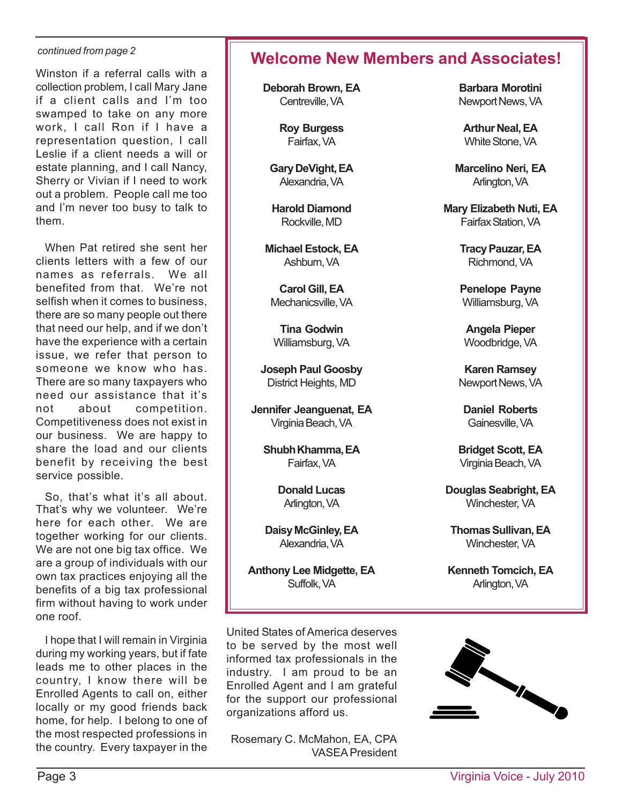#### *continued from page 2*

Winston if a referral calls with a collection problem, I call Mary Jane if a client calls and I'm too swamped to take on any more work, I call Ron if I have a representation question, I call Leslie if a client needs a will or estate planning, and I call Nancy, Sherry or Vivian if I need to work out a problem. People call me too and I'm never too busy to talk to them.

When Pat retired she sent her clients letters with a few of our names as referrals. We all benefited from that. We're not selfish when it comes to business, there are so many people out there that need our help, and if we don't have the experience with a certain issue, we refer that person to someone we know who has. There are so many taxpayers who need our assistance that it's not about competition. Competitiveness does not exist in our business. We are happy to share the load and our clients benefit by receiving the best service possible.

So, that's what it's all about. That's why we volunteer. We're here for each other. We are together working for our clients. We are not one big tax office. We are a group of individuals with our own tax practices enjoying all the benefits of a big tax professional firm without having to work under one roof.

I hope that I will remain in Virginia during my working years, but if fate leads me to other places in the country, I know there will be Enrolled Agents to call on, either locally or my good friends back home, for help. I belong to one of the most respected professions in the country. Every taxpayer in the

# **Welcome New Members and Associates!**

**Deborah Brown, EA** Centreville, VA

> **Roy Burgess** Fairfax, VA

**Gary DeVight, EA** Alexandria, VA

**Harold Diamond** Rockville, MD

**Michael Estock, EA** Ashburn, VA

**Carol Gill, EA** Mechanicsville, VA

**Tina Godwin** Williamsburg, VA

**Joseph Paul Goosby** District Heights, MD

**Jennifer Jeanguenat, EA** Virginia Beach, VA

**Shubh Khamma, EA** Fairfax, VA

> **Donald Lucas** Arlington, VA

**Daisy McGinley, EA** Alexandria, VA

**Anthony Lee Midgette, EA** Suffolk, VA

**Barbara Morotini** Newport News, VA

**Arthur Neal, EA** White Stone, VA

**Marcelino Neri, EA** Arlington, VA

**Mary Elizabeth Nuti, EA** Fairfax Station, VA

> **Tracy Pauzar, EA** Richmond, VA

**Penelope Payne** Williamsburg, VA

**Angela Pieper** Woodbridge, VA

**Karen Ramsey** Newport News, VA

**Daniel Roberts** Gainesville, VA

**Bridget Scott, EA** Virginia Beach, VA

**Douglas Seabright, EA** Winchester, VA

**Thomas Sullivan, EA** Winchester, VA

**Kenneth Tomcich, EA** Arlington, VA

United States of America deserves to be served by the most well informed tax professionals in the industry. I am proud to be an Enrolled Agent and I am grateful for the support our professional organizations afford us.

Rosemary C. McMahon, EA, CPA VASEA President

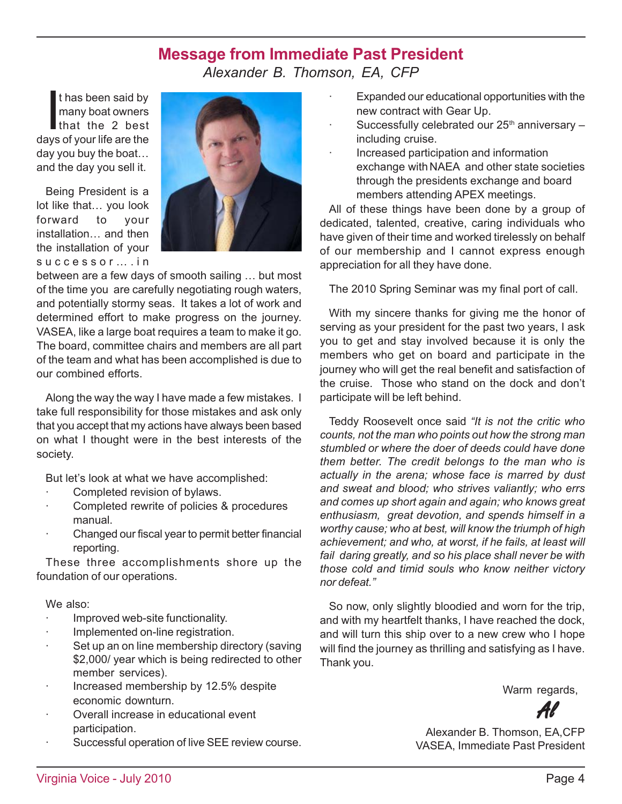### **Message from Immediate Past President**

*Alexander B. Thomson, EA, CFP*

thas been said by<br>many boat owners<br>that the 2 best<br>we of your life are the t has been said by many boat owners days of your life are the day you buy the boat… and the day you sell it.

Being President is a lot like that… you look forward to your installation… and then the installation of your successor….in



between are a few days of smooth sailing … but most of the time you are carefully negotiating rough waters, and potentially stormy seas. It takes a lot of work and determined effort to make progress on the journey. VASEA, like a large boat requires a team to make it go. The board, committee chairs and members are all part of the team and what has been accomplished is due to our combined efforts.

Along the way the way I have made a few mistakes. I take full responsibility for those mistakes and ask only that you accept that my actions have always been based on what I thought were in the best interests of the society.

But let's look at what we have accomplished:

- Completed revision of bylaws.
- · Completed rewrite of policies & procedures manual.
- · Changed our fiscal year to permit better financial reporting.

These three accomplishments shore up the foundation of our operations.

#### We also:

- · Improved web-site functionality.
- Implemented on-line registration.
- · Set up an on line membership directory (saving \$2,000/ year which is being redirected to other member services).
- Increased membership by 12.5% despite economic downturn.
- Overall increase in educational event participation.
- Successful operation of live SEE review course.
- Expanded our educational opportunities with the new contract with Gear Up.
- Successfully celebrated our  $25<sup>th</sup>$  anniversary  $$ including cruise.
- · Increased participation and information exchange with NAEA and other state societies through the presidents exchange and board members attending APEX meetings.

All of these things have been done by a group of dedicated, talented, creative, caring individuals who have given of their time and worked tirelessly on behalf of our membership and I cannot express enough appreciation for all they have done.

The 2010 Spring Seminar was my final port of call.

With my sincere thanks for giving me the honor of serving as your president for the past two years, I ask you to get and stay involved because it is only the members who get on board and participate in the journey who will get the real benefit and satisfaction of the cruise. Those who stand on the dock and don't participate will be left behind.

Teddy Roosevelt once said *"It is not the critic who counts, not the man who points out how the strong man stumbled or where the doer of deeds could have done them better. The credit belongs to the man who is actually in the arena; whose face is marred by dust and sweat and blood; who strives valiantly; who errs and comes up short again and again; who knows great enthusiasm, great devotion, and spends himself in a worthy cause; who at best, will know the triumph of high achievement; and who, at worst, if he fails, at least will fail daring greatly, and so his place shall never be with those cold and timid souls who know neither victory nor defeat."*

So now, only slightly bloodied and worn for the trip, and with my heartfelt thanks, I have reached the dock, and will turn this ship over to a new crew who I hope will find the journey as thrilling and satisfying as I have. Thank you.

Warm regards,

Al

Alexander B. Thomson, EA,CFP VASEA, Immediate Past President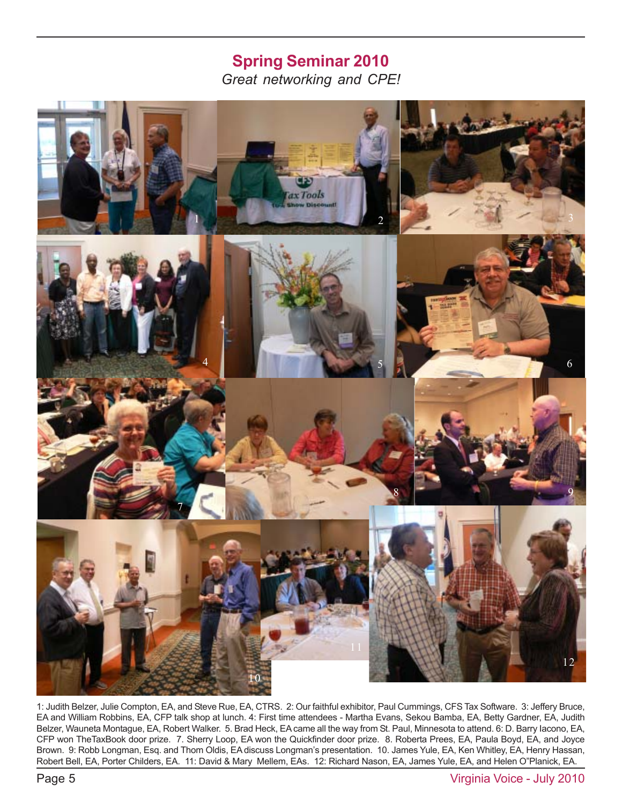## **1 2 3** *Great networking and CPE!* **Spring Seminar 2010**



1: Judith Belzer, Julie Compton, EA, and Steve Rue, EA, CTRS. 2: Our faithful exhibitor, Paul Cummings, CFS Tax Software. 3: Jeffery Bruce, EA and William Robbins, EA, CFP talk shop at lunch. 4: First time attendees - Martha Evans, Sekou Bamba, EA, Betty Gardner, EA, Judith Belzer, Wauneta Montague, EA, Robert Walker. 5. Brad Heck, EA came all the way from St. Paul, Minnesota to attend. 6: D. Barry Iacono, EA, CFP won TheTaxBook door prize. 7. Sherry Loop, EA won the Quickfinder door prize. 8. Roberta Prees, EA, Paula Boyd, EA, and Joyce Brown. 9: Robb Longman, Esq. and Thom Oldis, EA discuss Longman's presentation. 10. James Yule, EA, Ken Whitley, EA, Henry Hassan, Robert Bell, EA, Porter Childers, EA. 11: David & Mary Mellem, EAs. 12: Richard Nason, EA, James Yule, EA, and Helen O"Planick, EA.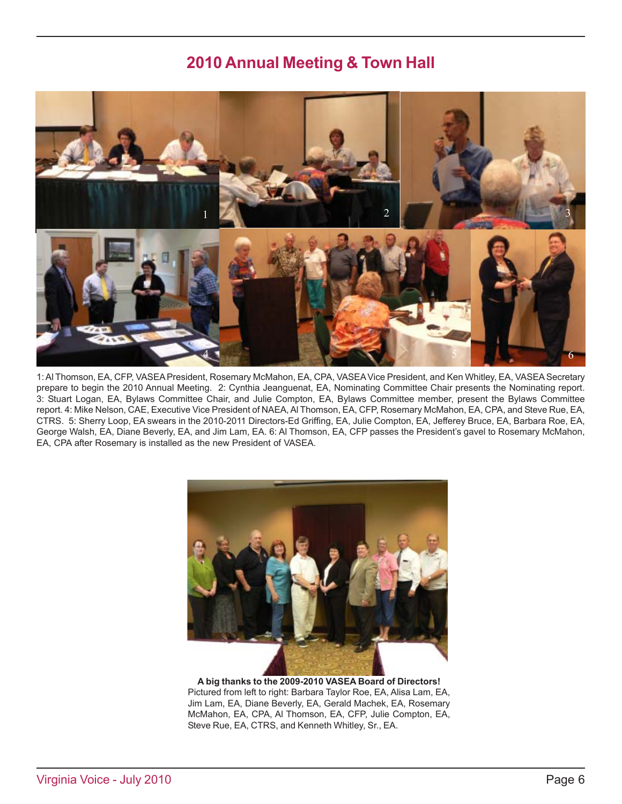# **2010 Annual Meeting & Town Hall**



1: Al Thomson, EA, CFP, VASEA President, Rosemary McMahon, EA, CPA, VASEA Vice President, and Ken Whitley, EA, VASEA Secretary prepare to begin the 2010 Annual Meeting. 2: Cynthia Jeanguenat, EA, Nominating Committee Chair presents the Nominating report. 3: Stuart Logan, EA, Bylaws Committee Chair, and Julie Compton, EA, Bylaws Committee member, present the Bylaws Committee report. 4: Mike Nelson, CAE, Executive Vice President of NAEA, Al Thomson, EA, CFP, Rosemary McMahon, EA, CPA, and Steve Rue, EA, CTRS. 5: Sherry Loop, EA swears in the 2010-2011 Directors-Ed Griffing, EA, Julie Compton, EA, Jefferey Bruce, EA, Barbara Roe, EA, George Walsh, EA, Diane Beverly, EA, and Jim Lam, EA. 6: Al Thomson, EA, CFP passes the President's gavel to Rosemary McMahon, EA, CPA after Rosemary is installed as the new President of VASEA.



**A big thanks to the 2009-2010 VASEA Board of Directors!** Pictured from left to right: Barbara Taylor Roe, EA, Alisa Lam, EA, Jim Lam, EA, Diane Beverly, EA, Gerald Machek, EA, Rosemary McMahon, EA, CPA, Al Thomson, EA, CFP, Julie Compton, EA, Steve Rue, EA, CTRS, and Kenneth Whitley, Sr., EA.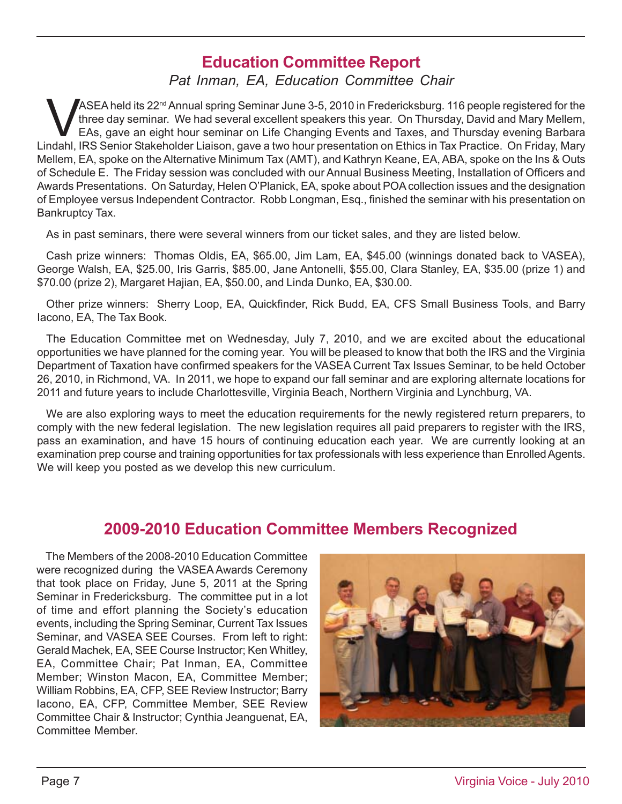# **Education Committee Report**

*Pat Inman, EA, Education Committee Chair*

ASEA held its 22<sup>nd</sup> Annual spring Seminar June 3-5, 2010 in Fredericksburg. 116 people registered for the three day seminar. We had several excellent speakers this year. On Thursday, David and Mary Mellem, EAS, gave an ei three day seminar. We had several excellent speakers this year. On Thursday, David and Mary Mellem, EAs, gave an eight hour seminar on Life Changing Events and Taxes, and Thursday evening Barbara Lindahl, IRS Senior Stakeholder Liaison, gave a two hour presentation on Ethics in Tax Practice. On Friday, Mary Mellem, EA, spoke on the Alternative Minimum Tax (AMT), and Kathryn Keane, EA, ABA, spoke on the Ins & Outs of Schedule E. The Friday session was concluded with our Annual Business Meeting, Installation of Officers and Awards Presentations. On Saturday, Helen O'Planick, EA, spoke about POA collection issues and the designation of Employee versus Independent Contractor. Robb Longman, Esq., finished the seminar with his presentation on Bankruptcy Tax.

As in past seminars, there were several winners from our ticket sales, and they are listed below.

Cash prize winners: Thomas Oldis, EA, \$65.00, Jim Lam, EA, \$45.00 (winnings donated back to VASEA), George Walsh, EA, \$25.00, Iris Garris, \$85.00, Jane Antonelli, \$55.00, Clara Stanley, EA, \$35.00 (prize 1) and \$70.00 (prize 2), Margaret Hajian, EA, \$50.00, and Linda Dunko, EA, \$30.00.

Other prize winners: Sherry Loop, EA, Quickfinder, Rick Budd, EA, CFS Small Business Tools, and Barry Iacono, EA, The Tax Book.

The Education Committee met on Wednesday, July 7, 2010, and we are excited about the educational opportunities we have planned for the coming year. You will be pleased to know that both the IRS and the Virginia Department of Taxation have confirmed speakers for the VASEA Current Tax Issues Seminar, to be held October 26, 2010, in Richmond, VA. In 2011, we hope to expand our fall seminar and are exploring alternate locations for 2011 and future years to include Charlottesville, Virginia Beach, Northern Virginia and Lynchburg, VA.

We are also exploring ways to meet the education requirements for the newly registered return preparers, to comply with the new federal legislation. The new legislation requires all paid preparers to register with the IRS, pass an examination, and have 15 hours of continuing education each year. We are currently looking at an examination prep course and training opportunities for tax professionals with less experience than Enrolled Agents. We will keep you posted as we develop this new curriculum.

### **2009-2010 Education Committee Members Recognized**

The Members of the 2008-2010 Education Committee were recognized during the VASEA Awards Ceremony that took place on Friday, June 5, 2011 at the Spring Seminar in Fredericksburg. The committee put in a lot of time and effort planning the Society's education events, including the Spring Seminar, Current Tax Issues Seminar, and VASEA SEE Courses. From left to right: Gerald Machek, EA, SEE Course Instructor; Ken Whitley, EA, Committee Chair; Pat Inman, EA, Committee Member; Winston Macon, EA, Committee Member; William Robbins, EA, CFP, SEE Review Instructor; Barry Iacono, EA, CFP, Committee Member, SEE Review Committee Chair & Instructor; Cynthia Jeanguenat, EA, Committee Member.

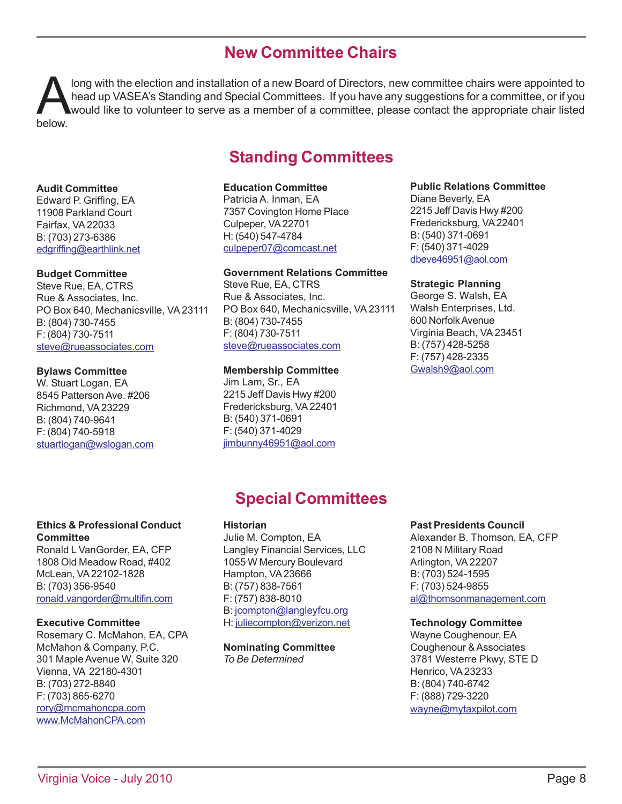## **New Committee Chairs**

Iong with the election and installation of a new Board of Directors, new committee chairs were appointed to head up VASEA's Standing and Special Committees. If you have any suggestions for a committee, or if you would like head up VASEA's Standing and Special Committees. If you have any suggestions for a committee, or if you would like to volunteer to serve as a member of a committee, please contact the appropriate chair listed below.

# **Standing Committees**

#### **Audit Committee**

Edward P. Griffing, EA 11908 Parkland Court Fairfax, VA 22033 B: (703) 273-6386 edgriffing@earthlink.net

#### **Budget Committee**

Steve Rue, EA, CTRS Rue & Associates, Inc. PO Box 640, Mechanicsville, VA 23111 B: (804) 730-7455 F: (804) 730-7511 steve@rueassociates.com

#### **Bylaws Committee**

W. Stuart Logan, EA 8545 Patterson Ave. #206 Richmond, VA 23229 B: (804) 740-9641 F: (804) 740-5918 stuartlogan@wslogan.com

#### **Education Committee**

Patricia A. Inman, EA 7357 Covington Home Place Culpeper, VA 22701 H: (540) 547-4784 culpeper07@comcast.net

#### **Government Relations Committee**

Steve Rue, EA, CTRS Rue & Associates, Inc. PO Box 640, Mechanicsville, VA 23111 B: (804) 730-7455 F: (804) 730-7511 steve@rueassociates.com

#### **Membership Committee**

Jim Lam, Sr., EA 2215 Jeff Davis Hwy #200 Fredericksburg, VA 22401 B: (540) 371-0691 F: (540) 371-4029 jimbunny46951@aol.com

#### **Public Relations Committee**

Diane Beverly, EA 2215 Jeff Davis Hwy #200 Fredericksburg, VA 22401 B: (540) 371-0691 F: (540) 371-4029 dbeve46951@aol.com

#### **Strategic Planning**

George S. Walsh, EA Walsh Enterprises, Ltd. 600 Norfolk Avenue Virginia Beach, VA 23451 B: (757) 428-5258 F: (757) 428-2335 Gwalsh9@aol.com

# 1 **Special Committees**

#### **Historian**

Julie M. Compton, EA Langley Financial Services, LLC 1055 W Mercury Boulevard Hampton, VA 23666 B: (757) 838-7561 F: (757) 838-8010 B: jcompton@langleyfcu.org H: juliecompton@verizon.net

#### **Nominating Committee** *To Be Determined*

#### **Past Presidents Council**

Alexander B. Thomson, EA, CFP 2108 N Military Road Arlington, VA 22207 B: (703) 524-1595 F: (703) 524-9855 al@thomsonmanagement.com

#### **Technology Committee**

 $B: (804) 740-6742$ Wayne Coughenour, EA Coughenour & Associates 3781 Westerre Pkwy, STE D Henrico, VA 23233 F: (888) 729-3220 wayne@mytaxpilot.com

#### **Ethics & Professional Conduct Committee**

Ronald L VanGorder, EA, CFP 1808 Old Meadow Road, #402 McLean, VA 22102-1828 B: (703) 356-9540 ronald.vangorder@multifin.com

#### **Executive Committee**

Rosemary C. McMahon, EA, CPA McMahon & Company, P.C. 301 Maple Avenue W, Suite 320 Vienna, VA 22180-4301 B: (703) 272-8840 F: (703) 865-6270 rory@mcmahoncpa.com www.McMahonCPA.com